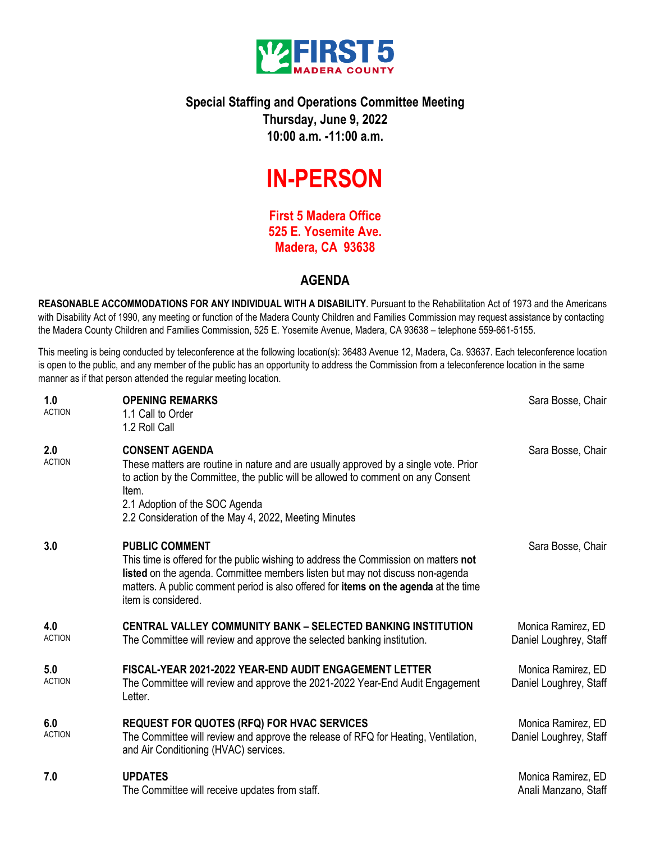

## **Special Staffing and Operations Committee Meeting Thursday, June 9, 2022 10:00 a.m. -11:00 a.m.**

# **IN-PERSON**

**First 5 Madera Office 525 E. Yosemite Ave. Madera, CA 93638**

### **AGENDA**

**REASONABLE ACCOMMODATIONS FOR ANY INDIVIDUAL WITH A DISABILITY**. Pursuant to the Rehabilitation Act of 1973 and the Americans with Disability Act of 1990, any meeting or function of the Madera County Children and Families Commission may request assistance by contacting the Madera County Children and Families Commission, 525 E. Yosemite Avenue, Madera, CA 93638 – telephone 559-661-5155.

This meeting is being conducted by teleconference at the following location(s): 36483 Avenue 12, Madera, Ca. 93637. Each teleconference location is open to the public, and any member of the public has an opportunity to address the Commission from a teleconference location in the same manner as if that person attended the regular meeting location.

| 1.0<br><b>ACTION</b> | <b>OPENING REMARKS</b><br>1.1 Call to Order<br>1.2 Roll Call                                                                                                                                                                                                                                                         | Sara Bosse, Chair                            |
|----------------------|----------------------------------------------------------------------------------------------------------------------------------------------------------------------------------------------------------------------------------------------------------------------------------------------------------------------|----------------------------------------------|
| 2.0<br><b>ACTION</b> | <b>CONSENT AGENDA</b><br>These matters are routine in nature and are usually approved by a single vote. Prior<br>to action by the Committee, the public will be allowed to comment on any Consent<br>Item.<br>2.1 Adoption of the SOC Agenda<br>2.2 Consideration of the May 4, 2022, Meeting Minutes                | Sara Bosse, Chair                            |
| 3.0                  | <b>PUBLIC COMMENT</b><br>This time is offered for the public wishing to address the Commission on matters not<br>listed on the agenda. Committee members listen but may not discuss non-agenda<br>matters. A public comment period is also offered for <b>items on the agenda</b> at the time<br>item is considered. | Sara Bosse, Chair                            |
| 4.0<br><b>ACTION</b> | CENTRAL VALLEY COMMUNITY BANK - SELECTED BANKING INSTITUTION<br>The Committee will review and approve the selected banking institution.                                                                                                                                                                              | Monica Ramirez, ED<br>Daniel Loughrey, Staff |
| 5.0<br><b>ACTION</b> | FISCAL-YEAR 2021-2022 YEAR-END AUDIT ENGAGEMENT LETTER<br>The Committee will review and approve the 2021-2022 Year-End Audit Engagement<br>Letter.                                                                                                                                                                   | Monica Ramirez, ED<br>Daniel Loughrey, Staff |
| 6.0<br><b>ACTION</b> | <b>REQUEST FOR QUOTES (RFQ) FOR HVAC SERVICES</b><br>The Committee will review and approve the release of RFQ for Heating, Ventilation,<br>and Air Conditioning (HVAC) services.                                                                                                                                     | Monica Ramirez, ED<br>Daniel Loughrey, Staff |
| 7.0                  | <b>UPDATES</b><br>The Committee will receive updates from staff.                                                                                                                                                                                                                                                     | Monica Ramirez, ED<br>Anali Manzano, Staff   |